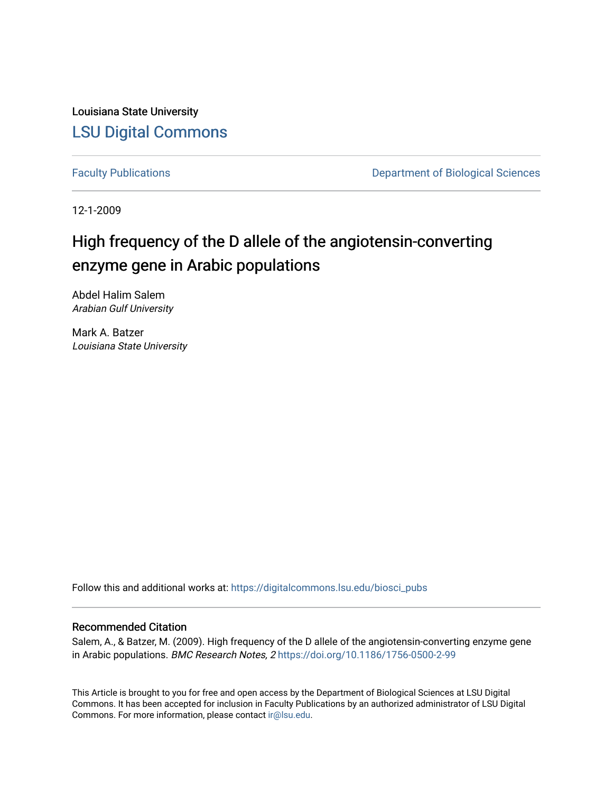Louisiana State University [LSU Digital Commons](https://digitalcommons.lsu.edu/)

[Faculty Publications](https://digitalcommons.lsu.edu/biosci_pubs) **Exercise 2 and Table 2 and Table 2 and Table 2 and Table 2 and Table 2 and Table 2 and Table 2 and Table 2 and Table 2 and Table 2 and Table 2 and Table 2 and Table 2 and Table 2 and Table 2 and Table** 

12-1-2009

# High frequency of the D allele of the angiotensin-converting enzyme gene in Arabic populations

Abdel Halim Salem Arabian Gulf University

Mark A. Batzer Louisiana State University

Follow this and additional works at: [https://digitalcommons.lsu.edu/biosci\\_pubs](https://digitalcommons.lsu.edu/biosci_pubs?utm_source=digitalcommons.lsu.edu%2Fbiosci_pubs%2F154&utm_medium=PDF&utm_campaign=PDFCoverPages)

# Recommended Citation

Salem, A., & Batzer, M. (2009). High frequency of the D allele of the angiotensin-converting enzyme gene in Arabic populations. BMC Research Notes, 2 <https://doi.org/10.1186/1756-0500-2-99>

This Article is brought to you for free and open access by the Department of Biological Sciences at LSU Digital Commons. It has been accepted for inclusion in Faculty Publications by an authorized administrator of LSU Digital Commons. For more information, please contact [ir@lsu.edu](mailto:ir@lsu.edu).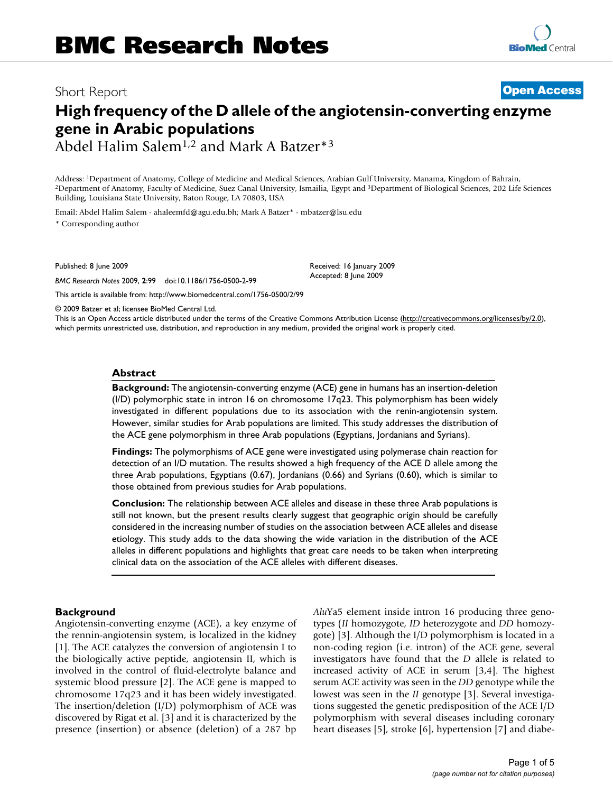# Short Report **[Open Access](http://www.biomedcentral.com/info/about/charter/)**

# **High frequency of the D allele of the angiotensin-converting enzyme gene in Arabic populations**

Abdel Halim Salem1,2 and Mark A Batzer\*3

Address: <sup>1</sup>Department of Anatomy, College of Medicine and Medical Sciences, Arabian Gulf University, Manama, Kingdom of Bahrain,<br><sup>2</sup>Department of Anatomy, Faculty of Medicine, Suez Canal University, Ismailia, Egypt and <sup>3</sup> Building, Louisiana State University, Baton Rouge, LA 70803, USA

Email: Abdel Halim Salem - ahaleemfd@agu.edu.bh; Mark A Batzer\* - mbatzer@lsu.edu \* Corresponding author

Published: 8 June 2009

*BMC Research Notes* 2009, **2**:99 doi:10.1186/1756-0500-2-99

[This article is available from: http://www.biomedcentral.com/1756-0500/2/99](http://www.biomedcentral.com/1756-0500/2/99)

© 2009 Batzer et al; licensee BioMed Central Ltd.

This is an Open Access article distributed under the terms of the Creative Commons Attribution License [\(http://creativecommons.org/licenses/by/2.0\)](http://creativecommons.org/licenses/by/2.0), which permits unrestricted use, distribution, and reproduction in any medium, provided the original work is properly cited.

Received: 16 January 2009 Accepted: 8 June 2009

#### **Abstract**

**Background:** The angiotensin-converting enzyme (ACE) gene in humans has an insertion-deletion (I/D) polymorphic state in intron 16 on chromosome 17q23. This polymorphism has been widely investigated in different populations due to its association with the renin-angiotensin system. However, similar studies for Arab populations are limited. This study addresses the distribution of the ACE gene polymorphism in three Arab populations (Egyptians, Jordanians and Syrians).

**Findings:** The polymorphisms of ACE gene were investigated using polymerase chain reaction for detection of an I/D mutation. The results showed a high frequency of the ACE *D* allele among the three Arab populations, Egyptians (0.67), Jordanians (0.66) and Syrians (0.60), which is similar to those obtained from previous studies for Arab populations.

**Conclusion:** The relationship between ACE alleles and disease in these three Arab populations is still not known, but the present results clearly suggest that geographic origin should be carefully considered in the increasing number of studies on the association between ACE alleles and disease etiology. This study adds to the data showing the wide variation in the distribution of the ACE alleles in different populations and highlights that great care needs to be taken when interpreting clinical data on the association of the ACE alleles with different diseases.

### **Background**

Angiotensin-converting enzyme (ACE), a key enzyme of the rennin-angiotensin system, is localized in the kidney [1]. The ACE catalyzes the conversion of angiotensin I to the biologically active peptide, angiotensin II, which is involved in the control of fluid-electrolyte balance and systemic blood pressure [2]. The ACE gene is mapped to chromosome 17q23 and it has been widely investigated. The insertion/deletion (I/D) polymorphism of ACE was discovered by Rigat et al. [3] and it is characterized by the presence (insertion) or absence (deletion) of a 287 bp *Alu*Ya5 element inside intron 16 producing three genotypes (*II* homozygote, *ID* heterozygote and *DD* homozygote) [3]. Although the I/D polymorphism is located in a non-coding region (i.e. intron) of the ACE gene, several investigators have found that the *D* allele is related to increased activity of ACE in serum [3,4]. The highest serum ACE activity was seen in the *DD* genotype while the lowest was seen in the *II* genotype [3]. Several investigations suggested the genetic predisposition of the ACE I/D polymorphism with several diseases including coronary heart diseases [5], stroke [6], hypertension [7] and diabe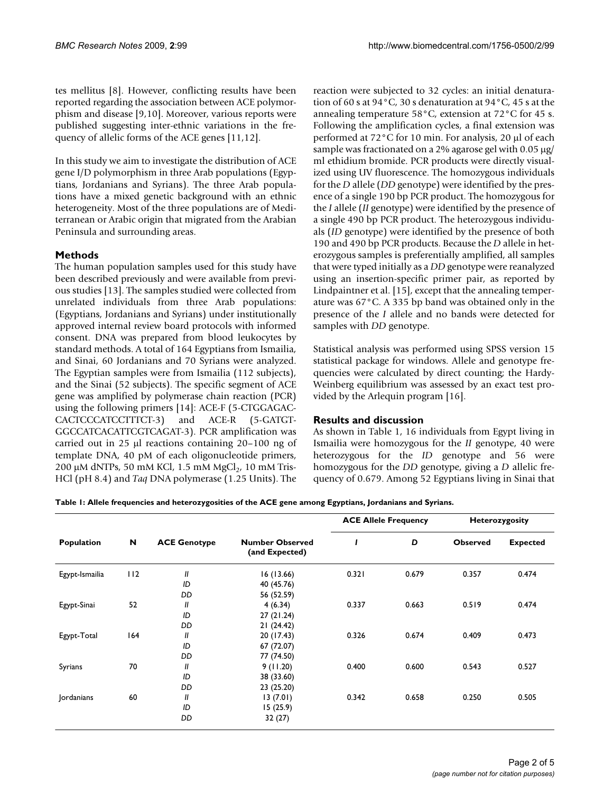tes mellitus [8]. However, conflicting results have been reported regarding the association between ACE polymorphism and disease [9,10]. Moreover, various reports were published suggesting inter-ethnic variations in the frequency of allelic forms of the ACE genes [11,12].

In this study we aim to investigate the distribution of ACE gene I/D polymorphism in three Arab populations (Egyptians, Jordanians and Syrians). The three Arab populations have a mixed genetic background with an ethnic heterogeneity. Most of the three populations are of Mediterranean or Arabic origin that migrated from the Arabian Peninsula and surrounding areas.

# **Methods**

The human population samples used for this study have been described previously and were available from previous studies [13]. The samples studied were collected from unrelated individuals from three Arab populations: (Egyptians, Jordanians and Syrians) under institutionally approved internal review board protocols with informed consent. DNA was prepared from blood leukocytes by standard methods. A total of 164 Egyptians from Ismailia, and Sinai, 60 Jordanians and 70 Syrians were analyzed. The Egyptian samples were from Ismailia (112 subjects), and the Sinai (52 subjects). The specific segment of ACE gene was amplified by polymerase chain reaction (PCR) using the following primers [14]: ACE-F (5-CTGGAGAC-CACTCCCATCCTTTCT-3) and ACE-R (5-GATGT-GGCCATCACATTCGTCAGAT-3). PCR amplification was carried out in 25 μl reactions containing 20–100 ng of template DNA, 40 pM of each oligonucleotide primers, 200 μM dNTPs, 50 mM KCl, 1.5 mM MgCl<sub>2</sub>, 10 mM Tris-HCl (pH 8.4) and *Taq* DNA polymerase (1.25 Units). The reaction were subjected to 32 cycles: an initial denaturation of 60 s at 94°C, 30 s denaturation at 94°C, 45 s at the annealing temperature 58°C, extension at 72°C for 45 s. Following the amplification cycles, a final extension was performed at 72°C for 10 min. For analysis, 20 μl of each sample was fractionated on a 2% agarose gel with 0.05 μg/ ml ethidium bromide. PCR products were directly visualized using UV fluorescence. The homozygous individuals for the *D* allele (*DD* genotype) were identified by the presence of a single 190 bp PCR product. The homozygous for the *I* allele (*II* genotype) were identified by the presence of a single 490 bp PCR product. The heterozygous individuals (*ID* genotype) were identified by the presence of both 190 and 490 bp PCR products. Because the *D* allele in heterozygous samples is preferentially amplified, all samples that were typed initially as a *DD* genotype were reanalyzed using an insertion-specific primer pair, as reported by Lindpaintner et al. [15], except that the annealing temperature was 67°C. A 335 bp band was obtained only in the presence of the *I* allele and no bands were detected for samples with *DD* genotype.

Statistical analysis was performed using SPSS version 15 statistical package for windows. Allele and genotype frequencies were calculated by direct counting; the Hardy-Weinberg equilibrium was assessed by an exact test provided by the Arlequin program [16].

# **Results and discussion**

As shown in Table 1, 16 individuals from Egypt living in Ismailia were homozygous for the *II* genotype, 40 were heterozygous for the *ID* genotype and 56 were homozygous for the *DD* genotype, giving a *D* allelic frequency of 0.679. Among 52 Egyptians living in Sinai that

**Table 1: Allele frequencies and heterozygosities of the ACE gene among Egyptians, Jordanians and Syrians.**

| Population     | N   | <b>ACE Genotype</b> | <b>Number Observed</b><br>(and Expected) | <b>ACE Allele Frequency</b> |       | <b>Heterozygosity</b> |                 |
|----------------|-----|---------------------|------------------------------------------|-----------------------------|-------|-----------------------|-----------------|
|                |     |                     |                                          |                             | D     | <b>Observed</b>       | <b>Expected</b> |
| Egypt-Ismailia | 112 | $\mathbf{u}$        | 16(13.66)                                | 0.321                       | 0.679 | 0.357                 | 0.474           |
|                |     | ID                  | 40 (45.76)                               |                             |       |                       |                 |
|                |     | DD                  | 56 (52.59)                               |                             |       |                       |                 |
| Egypt-Sinai    | 52  | $\mathbf{u}$        | 4(6.34)                                  | 0.337                       | 0.663 | 0.519                 | 0.474           |
|                |     | ID                  | 27(21.24)                                |                             |       |                       |                 |
|                |     | DD                  | 21(24.42)                                |                             |       |                       |                 |
| Egypt-Total    | 164 | $\mathbf{I}$        | 20 (17.43)                               | 0.326                       | 0.674 | 0.409                 | 0.473           |
|                |     | ID                  | 67 (72.07)                               |                             |       |                       |                 |
|                |     | DD                  | 77 (74.50)                               |                             |       |                       |                 |
| Syrians        | 70  | $\mathbf{u}$        | 9(11.20)                                 | 0.400                       | 0.600 | 0.543                 | 0.527           |
|                |     | ID                  | 38 (33.60)                               |                             |       |                       |                 |
|                |     | DD                  | 23 (25.20)                               |                             |       |                       |                 |
| Jordanians     | 60  | $\mathbf{u}$        | 13(7.01)                                 | 0.342                       | 0.658 | 0.250                 | 0.505           |
|                |     | ID                  | 15(25.9)                                 |                             |       |                       |                 |
|                |     | DD                  | 32 (27)                                  |                             |       |                       |                 |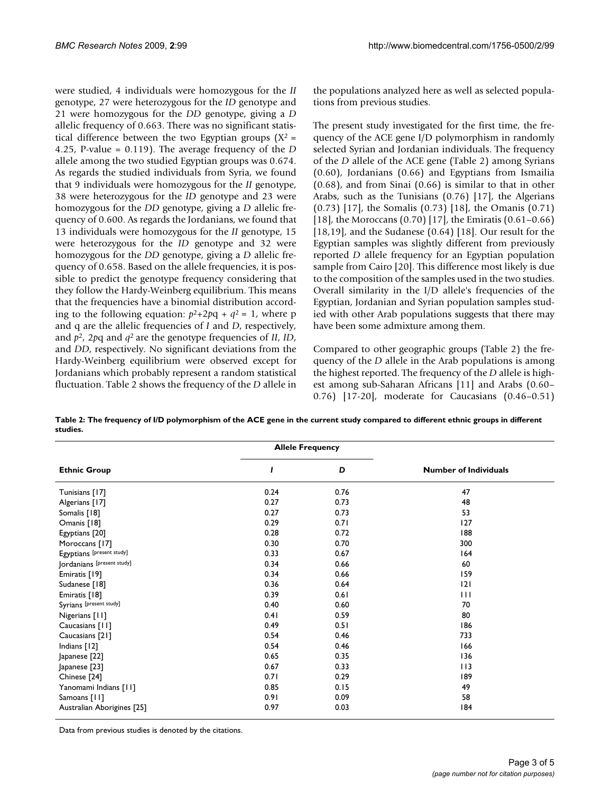were studied, 4 individuals were homozygous for the *II* genotype, 27 were heterozygous for the *ID* genotype and 21 were homozygous for the *DD* genotype, giving a *D* allelic frequency of 0.663. There was no significant statistical difference between the two Egyptian groups  $(X^2 =$ 4.25, P-value = 0.119). The average frequency of the *D* allele among the two studied Egyptian groups was 0.674. As regards the studied individuals from Syria, we found that 9 individuals were homozygous for the *II* genotype, 38 were heterozygous for the *ID* genotype and 23 were homozygous for the *DD* genotype, giving a *D* allelic frequency of 0.600. As regards the Jordanians, we found that 13 individuals were homozygous for the *II* genotype, 15 were heterozygous for the *ID* genotype and 32 were homozygous for the *DD* genotype, giving a *D* allelic frequency of 0.658. Based on the allele frequencies, it is possible to predict the genotype frequency considering that they follow the Hardy-Weinberg equilibrium. This means that the frequencies have a binomial distribution according to the following equation:  $p^2+2pq + q^2 = 1$ , where p and q are the allelic frequencies of *I* and *D*, respectively, and *p*2, 2*p*q and *q*2 are the genotype frequencies of *II*, *ID*, and *DD*, respectively. No significant deviations from the Hardy-Weinberg equilibrium were observed except for Jordanians which probably represent a random statistical fluctuation. Table 2 shows the frequency of the *D* allele in

the populations analyzed here as well as selected populations from previous studies.

The present study investigated for the first time, the frequency of the ACE gene I/D polymorphism in randomly selected Syrian and Jordanian individuals. The frequency of the *D* allele of the ACE gene (Table 2) among Syrians (0.60), Jordanians (0.66) and Egyptians from Ismailia (0.68), and from Sinai (0.66) is similar to that in other Arabs, such as the Tunisians (0.76) [17], the Algerians (0.73) [17], the Somalis (0.73) [18], the Omanis (0.71) [18], the Moroccans (0.70) [17], the Emiratis (0.61–0.66) [18,19], and the Sudanese (0.64) [18]. Our result for the Egyptian samples was slightly different from previously reported *D* allele frequency for an Egyptian population sample from Cairo [20]. This difference most likely is due to the composition of the samples used in the two studies. Overall similarity in the I/D allele's frequencies of the Egyptian, Jordanian and Syrian population samples studied with other Arab populations suggests that there may have been some admixture among them.

Compared to other geographic groups (Table 2) the frequency of the *D* allele in the Arab populations is among the highest reported. The frequency of the *D* allele is highest among sub-Saharan Africans [11] and Arabs (0.60– 0.76) [17-20], moderate for Caucasians (0.46–0.51)

|                            | <b>Allele Frequency</b> |      |                              |  |
|----------------------------|-------------------------|------|------------------------------|--|
| <b>Ethnic Group</b>        | 1                       | D    | <b>Number of Individuals</b> |  |
| Tunisians [17]             | 0.24                    | 0.76 | 47                           |  |
| Algerians [17]             | 0.27                    | 0.73 | 48                           |  |
| Somalis [18]               | 0.27                    | 0.73 | 53                           |  |
| Omanis [18]                | 0.29                    | 0.71 | 127                          |  |
| Egyptians [20]             | 0.28                    | 0.72 | 188                          |  |
| Moroccans [17]             | 0.30                    | 0.70 | 300                          |  |
| Egyptians [present study]  | 0.33                    | 0.67 | 164                          |  |
| Jordanians [present study] | 0.34                    | 0.66 | 60                           |  |
| Emiratis [19]              | 0.34                    | 0.66 | 159                          |  |
| Sudanese [18]              | 0.36                    | 0.64 | 2                            |  |
| Emiratis [18]              | 0.39                    | 0.61 | $\mathbf{H}$                 |  |
| Syrians [present study]    | 0.40                    | 0.60 | 70                           |  |
| Nigerians [11]             | 0.41                    | 0.59 | 80                           |  |
| Caucasians [11]            | 0.49                    | 0.51 | 186                          |  |
| Caucasians [21]            | 0.54                    | 0.46 | 733                          |  |
| Indians [12]               | 0.54                    | 0.46 | 166                          |  |
| Japanese [22]              | 0.65                    | 0.35 | 136                          |  |
| Japanese [23]              | 0.67                    | 0.33 | $ $   3                      |  |
| Chinese [24]               | 0.71                    | 0.29 | 189                          |  |
| Yanomami Indians [11]      | 0.85                    | 0.15 | 49                           |  |
| Samoans [11]               | 0.91                    | 0.09 | 58                           |  |
| Australian Aborigines [25] | 0.97                    | 0.03 | 84                           |  |

**Table 2: The frequency of I/D polymorphism of the ACE gene in the current study compared to different ethnic groups in different studies.**

Data from previous studies is denoted by the citations.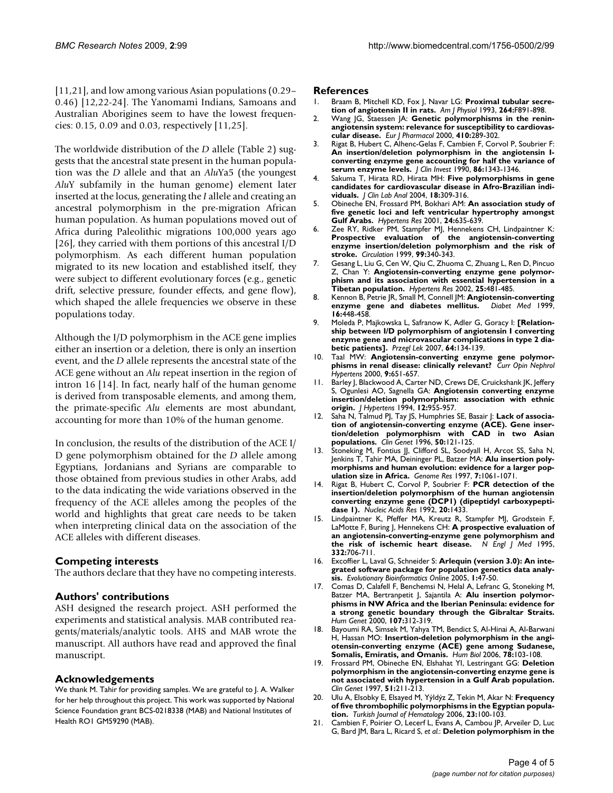[11,21], and low among various Asian populations (0.29– 0.46) [12,22-24]. The Yanomami Indians, Samoans and Australian Aborigines seem to have the lowest frequencies: 0.15, 0.09 and 0.03, respectively [11,25].

The worldwide distribution of the *D* allele (Table 2) suggests that the ancestral state present in the human population was the *D* allele and that an *Alu*Ya5 (the youngest *Alu*Y subfamily in the human genome) element later inserted at the locus, generating the *I* allele and creating an ancestral polymorphism in the pre-migration African human population. As human populations moved out of Africa during Paleolithic migrations 100,000 years ago [26], they carried with them portions of this ancestral I/D polymorphism. As each different human population migrated to its new location and established itself, they were subject to different evolutionary forces (e.g., genetic drift, selective pressure, founder effects, and gene flow), which shaped the allele frequencies we observe in these populations today.

Although the I/D polymorphism in the ACE gene implies either an insertion or a deletion, there is only an insertion event, and the *D* allele represents the ancestral state of the ACE gene without an *Alu* repeat insertion in the region of intron 16 [14]. In fact, nearly half of the human genome is derived from transposable elements, and among them, the primate-specific *Alu* elements are most abundant, accounting for more than 10% of the human genome.

In conclusion, the results of the distribution of the ACE I/ D gene polymorphism obtained for the *D* allele among Egyptians, Jordanians and Syrians are comparable to those obtained from previous studies in other Arabs, add to the data indicating the wide variations observed in the frequency of the ACE alleles among the peoples of the world and highlights that great care needs to be taken when interpreting clinical data on the association of the ACE alleles with different diseases.

### **Competing interests**

The authors declare that they have no competing interests.

## **Authors' contributions**

ASH designed the research project. ASH performed the experiments and statistical analysis. MAB contributed reagents/materials/analytic tools. AHS and MAB wrote the manuscript. All authors have read and approved the final manuscript.

### **Acknowledgements**

We thank M. Tahir for providing samples. We are grateful to J. A. Walker for her help throughout this project. This work was supported by National Science Foundation grant BCS-0218338 (MAB) and National Institutes of Health RO1 GM59290 (MAB).

#### **References**

- 1. Braam B, Mitchell KD, Fox J, Navar LG: **[Proximal tubular secre](http://www.ncbi.nlm.nih.gov/entrez/query.fcgi?cmd=Retrieve&db=PubMed&dopt=Abstract&list_uids=8388654)[tion of angiotensin II in rats.](http://www.ncbi.nlm.nih.gov/entrez/query.fcgi?cmd=Retrieve&db=PubMed&dopt=Abstract&list_uids=8388654)** *Am J Physiol* 1993, **264:**F891-898.
- Wang JG, Staessen JA: [Genetic polymorphisms in the renin](http://www.ncbi.nlm.nih.gov/entrez/query.fcgi?cmd=Retrieve&db=PubMed&dopt=Abstract&list_uids=11134677)**[angiotensin system: relevance for susceptibility to cardiovas](http://www.ncbi.nlm.nih.gov/entrez/query.fcgi?cmd=Retrieve&db=PubMed&dopt=Abstract&list_uids=11134677)[cular disease.](http://www.ncbi.nlm.nih.gov/entrez/query.fcgi?cmd=Retrieve&db=PubMed&dopt=Abstract&list_uids=11134677)** *Eur J Pharmacol* 2000, **410:**289-302.
- 3. Rigat B, Hubert C, Alhenc-Gelas F, Cambien F, Corvol P, Soubrier F: **[An insertion/deletion polymorphism in the angiotensin I](http://www.ncbi.nlm.nih.gov/entrez/query.fcgi?cmd=Retrieve&db=PubMed&dopt=Abstract&list_uids=1976655)converting enzyme gene accounting for half the variance of [serum enzyme levels.](http://www.ncbi.nlm.nih.gov/entrez/query.fcgi?cmd=Retrieve&db=PubMed&dopt=Abstract&list_uids=1976655)** *J Clin Invest* 1990, **86:**1343-1346.
- 4. Sakuma T, Hirata RD, Hirata MH: **[Five polymorphisms in gene](http://www.ncbi.nlm.nih.gov/entrez/query.fcgi?cmd=Retrieve&db=PubMed&dopt=Abstract&list_uids=15543563) [candidates for cardiovascular disease in Afro-Brazilian indi](http://www.ncbi.nlm.nih.gov/entrez/query.fcgi?cmd=Retrieve&db=PubMed&dopt=Abstract&list_uids=15543563)[viduals.](http://www.ncbi.nlm.nih.gov/entrez/query.fcgi?cmd=Retrieve&db=PubMed&dopt=Abstract&list_uids=15543563)** *J Clin Lab Anal* 2004, **18:**309-316.
- 5. Obineche EN, Frossard PM, Bokhari AM: **[An association study of](http://www.ncbi.nlm.nih.gov/entrez/query.fcgi?cmd=Retrieve&db=PubMed&dopt=Abstract&list_uids=11768721) [five genetic loci and left ventricular hypertrophy amongst](http://www.ncbi.nlm.nih.gov/entrez/query.fcgi?cmd=Retrieve&db=PubMed&dopt=Abstract&list_uids=11768721) [Gulf Arabs.](http://www.ncbi.nlm.nih.gov/entrez/query.fcgi?cmd=Retrieve&db=PubMed&dopt=Abstract&list_uids=11768721)** *Hypertens Res* 2001, **24:**635-639.
- 6. Zee RY, Ridker PM, Stampfer MJ, Hennekens CH, Lindpaintner K: **[Prospective evaluation of the angiotensin-converting](http://www.ncbi.nlm.nih.gov/entrez/query.fcgi?cmd=Retrieve&db=PubMed&dopt=Abstract&list_uids=9918518) enzyme insertion/deletion polymorphism and the risk of [stroke.](http://www.ncbi.nlm.nih.gov/entrez/query.fcgi?cmd=Retrieve&db=PubMed&dopt=Abstract&list_uids=9918518)** *Circulation* 1999, **99:**340-343.
- 7. Gesang L, Liu G, Cen W, Qiu C, Zhuoma C, Zhuang L, Ren D, Pincuo Z, Chan Y: **[Angiotensin-converting enzyme gene polymor](http://www.ncbi.nlm.nih.gov/entrez/query.fcgi?cmd=Retrieve&db=PubMed&dopt=Abstract&list_uids=12135330)[phism and its association with essential hypertension in a](http://www.ncbi.nlm.nih.gov/entrez/query.fcgi?cmd=Retrieve&db=PubMed&dopt=Abstract&list_uids=12135330) [Tibetan population.](http://www.ncbi.nlm.nih.gov/entrez/query.fcgi?cmd=Retrieve&db=PubMed&dopt=Abstract&list_uids=12135330)** *Hypertens Res* 2002, **25:**481-485.
- 8. Kennon B, Petrie JR, Small M, Connell JM: **[Angiotensin-converting](http://www.ncbi.nlm.nih.gov/entrez/query.fcgi?cmd=Retrieve&db=PubMed&dopt=Abstract&list_uids=10391391)** [enzyme gene and diabetes mellitus.](http://www.ncbi.nlm.nih.gov/entrez/query.fcgi?cmd=Retrieve&db=PubMed&dopt=Abstract&list_uids=10391391) **16:**448-458.
- 9. Moleda P, Majkowska L, Safranow K, Adler G, Goracy I: **[\[Relation](http://www.ncbi.nlm.nih.gov/entrez/query.fcgi?cmd=Retrieve&db=PubMed&dopt=Abstract&list_uids=17941464)[ship between I/D polymorphism of angiotensin I converting](http://www.ncbi.nlm.nih.gov/entrez/query.fcgi?cmd=Retrieve&db=PubMed&dopt=Abstract&list_uids=17941464) enzyme gene and microvascular complications in type 2 dia[betic patients\].](http://www.ncbi.nlm.nih.gov/entrez/query.fcgi?cmd=Retrieve&db=PubMed&dopt=Abstract&list_uids=17941464)** *Przegl Lek* 2007, **64:**134-139.
- 10. Taal MW: **[Angiotensin-converting enzyme gene polymor](http://www.ncbi.nlm.nih.gov/entrez/query.fcgi?cmd=Retrieve&db=PubMed&dopt=Abstract&list_uids=11128428)[phisms in renal disease: clinically relevant?](http://www.ncbi.nlm.nih.gov/entrez/query.fcgi?cmd=Retrieve&db=PubMed&dopt=Abstract&list_uids=11128428)** *Curr Opin Nephrol Hypertens* 2000, **9:**651-657.
- 11. Barley J, Blackwood A, Carter ND, Crews DE, Cruickshank JK, Jeffery S, Ogunlesi AO, Sagnella GA: **[Angiotensin converting enzyme](http://www.ncbi.nlm.nih.gov/entrez/query.fcgi?cmd=Retrieve&db=PubMed&dopt=Abstract&list_uids=7814855) [insertion/deletion polymorphism: association with ethnic](http://www.ncbi.nlm.nih.gov/entrez/query.fcgi?cmd=Retrieve&db=PubMed&dopt=Abstract&list_uids=7814855) [origin.](http://www.ncbi.nlm.nih.gov/entrez/query.fcgi?cmd=Retrieve&db=PubMed&dopt=Abstract&list_uids=7814855)** *J Hypertens* 1994, **12:**955-957.
- 12. Saha N, Talmud PJ, Tay JS, Humphries SE, Basair J: **[Lack of associa](http://www.ncbi.nlm.nih.gov/entrez/query.fcgi?cmd=Retrieve&db=PubMed&dopt=Abstract&list_uids=8946109)[tion of angiotensin-converting enzyme \(ACE\). Gene inser](http://www.ncbi.nlm.nih.gov/entrez/query.fcgi?cmd=Retrieve&db=PubMed&dopt=Abstract&list_uids=8946109)tion/deletion polymorphism with CAD in two Asian [populations.](http://www.ncbi.nlm.nih.gov/entrez/query.fcgi?cmd=Retrieve&db=PubMed&dopt=Abstract&list_uids=8946109)** *Clin Genet* 1996, **50:**121-125.
- 13. Stoneking M, Fontius JJ, Clifford SL, Soodyall H, Arcot SS, Saha N, Jenkins T, Tahir MA, Deininger PL, Batzer MA: **[Alu insertion poly](http://www.ncbi.nlm.nih.gov/entrez/query.fcgi?cmd=Retrieve&db=PubMed&dopt=Abstract&list_uids=9371742)[morphisms and human evolution: evidence for a larger pop](http://www.ncbi.nlm.nih.gov/entrez/query.fcgi?cmd=Retrieve&db=PubMed&dopt=Abstract&list_uids=9371742)[ulation size in Africa.](http://www.ncbi.nlm.nih.gov/entrez/query.fcgi?cmd=Retrieve&db=PubMed&dopt=Abstract&list_uids=9371742)** *Genome Res* 1997, **7:**1061-1071.
- 14. Rigat B, Hubert C, Corvol P, Soubrier F: **[PCR detection of the](http://www.ncbi.nlm.nih.gov/entrez/query.fcgi?cmd=Retrieve&db=PubMed&dopt=Abstract&list_uids=1313972) [insertion/deletion polymorphism of the human angiotensin](http://www.ncbi.nlm.nih.gov/entrez/query.fcgi?cmd=Retrieve&db=PubMed&dopt=Abstract&list_uids=1313972) converting enzyme gene (DCP1) (dipeptidyl carboxypepti[dase 1\).](http://www.ncbi.nlm.nih.gov/entrez/query.fcgi?cmd=Retrieve&db=PubMed&dopt=Abstract&list_uids=1313972)** *Nucleic Acids Res* 1992, **20:**1433.
- 15. Lindpaintner K, Pfeffer MA, Kreutz R, Stampfer MJ, Grodstein F, LaMotte F, Buring J, Hennekens CH: **[A prospective evaluation of](http://www.ncbi.nlm.nih.gov/entrez/query.fcgi?cmd=Retrieve&db=PubMed&dopt=Abstract&list_uids=7854377) [an angiotensin-converting-enzyme gene polymorphism and](http://www.ncbi.nlm.nih.gov/entrez/query.fcgi?cmd=Retrieve&db=PubMed&dopt=Abstract&list_uids=7854377) [the risk of ischemic heart disease.](http://www.ncbi.nlm.nih.gov/entrez/query.fcgi?cmd=Retrieve&db=PubMed&dopt=Abstract&list_uids=7854377)** *N Engl J Med* 1995, **332:**706-711.
- 16. Excoffier L, Laval G, Schneider S: **[Arlequin \(version 3.0\): An inte](http://www.ncbi.nlm.nih.gov/entrez/query.fcgi?cmd=Retrieve&db=PubMed&dopt=Abstract&list_uids=19325852)[grated software package for population genetics data analy](http://www.ncbi.nlm.nih.gov/entrez/query.fcgi?cmd=Retrieve&db=PubMed&dopt=Abstract&list_uids=19325852)[sis.](http://www.ncbi.nlm.nih.gov/entrez/query.fcgi?cmd=Retrieve&db=PubMed&dopt=Abstract&list_uids=19325852)** *Evolutionary Bioinformatics Online* 2005, **1:**47-50.
- 17. Comas D, Calafell F, Benchemsi N, Helal A, Lefranc G, Stoneking M, Batzer MA, Bertranpetit J, Sajantila A: **[Alu insertion polymor](http://www.ncbi.nlm.nih.gov/entrez/query.fcgi?cmd=Retrieve&db=PubMed&dopt=Abstract&list_uids=11129330)phisms in NW Africa and the Iberian Peninsula: evidence for [a strong genetic boundary through the Gibraltar Straits.](http://www.ncbi.nlm.nih.gov/entrez/query.fcgi?cmd=Retrieve&db=PubMed&dopt=Abstract&list_uids=11129330)** *Hum Genet* 2000, **107:**312-319.
- 18. Bayoumi RA, Simsek M, Yahya TM, Bendict S, Al-Hinai A, Al-Barwani H, Hassan MO: **[Insertion-deletion polymorphism in the angi](http://www.ncbi.nlm.nih.gov/entrez/query.fcgi?cmd=Retrieve&db=PubMed&dopt=Abstract&list_uids=16900885)[otensin-converting enzyme \(ACE\) gene among Sudanese,](http://www.ncbi.nlm.nih.gov/entrez/query.fcgi?cmd=Retrieve&db=PubMed&dopt=Abstract&list_uids=16900885) [Somalis, Emiratis, and Omanis.](http://www.ncbi.nlm.nih.gov/entrez/query.fcgi?cmd=Retrieve&db=PubMed&dopt=Abstract&list_uids=16900885)** *Hum Biol* 2006, **78:**103-108.
- 19. Frossard PM, Obineche EN, Elshahat YI, Lestringant GG: **[Deletion](http://www.ncbi.nlm.nih.gov/entrez/query.fcgi?cmd=Retrieve&db=PubMed&dopt=Abstract&list_uids=9137889) polymorphism in the angiotensin-converting enzyme gene is [not associated with hypertension in a Gulf Arab population.](http://www.ncbi.nlm.nih.gov/entrez/query.fcgi?cmd=Retrieve&db=PubMed&dopt=Abstract&list_uids=9137889)** *Clin Genet* 1997, **51:**211-213.
- 20. Ulu A, Elsobky E, Elsayed M, Yýldýz Z, Tekin M, Akar N: **Frequency of five thrombophilic polymorphisms in the Egyptian population.** *Turkish Journal of Hematology* 2006, **23:**100-103.
- 21. Cambien F, Poirier O, Lecerf L, Evans A, Cambou JP, Arveiler D, Luc G, Bard JM, Bara L, Ricard S, *et al.*: **[Deletion polymorphism in the](http://www.ncbi.nlm.nih.gov/entrez/query.fcgi?cmd=Retrieve&db=PubMed&dopt=Abstract&list_uids=1328889)**